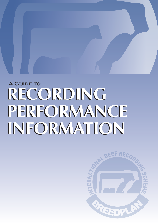# **A Guide to RECORDING RECORDING PERFORMANCE PERFORMANCE INFORMATION INFORMATION**

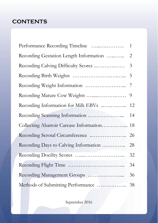# **CONTENTS**

| Performance Recording Timeline             | $\overline{1}$ |
|--------------------------------------------|----------------|
| Recording Gestation Length Information     | $\overline{2}$ |
| Recording Calving Difficulty Scores        | $\mathfrak{Z}$ |
|                                            |                |
|                                            | 7              |
|                                            | 9              |
| Recording Information for Milk EBVs        | 12             |
|                                            | 14             |
| Collecting Abattoir Carcase Information 18 |                |
| Recording Scrotal Circumference  26        |                |
| Recording Days to Calving Information      | 28             |
|                                            | 32             |
|                                            | 34             |
|                                            | 36             |
| Methods of Submitting Performance          | 38             |

September 2016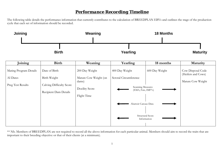## *Performance Recording Timeline*

The following table details the performance information that currently contributes to the calculation of BREEDPLAN EBVs and outlines the stage of the production cycle that each set of information should be recorded.



\*\* Nb. Members of BREEDPLAN are not required to record all the above information for each particular animal. Members should aim to record the traits that are important to their breeding objective or that of their clients (at a minimum).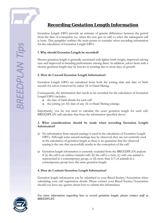# *Recording Gestation Length Information*

Gestation Length EBVs provide an estimate of genetic differences between the period from the date of conception (i.e. when the cow gets in calf) to when the subsequent calf is born. This pamphlet outlines the main points to consider when recording information for the calculation of Gestation Length EBVs.

#### **1 .Why should Gestation Length be recorded?**

Shorter gestation length is generally associated with lighter birth weight, improved calving ease and improved re-breeding performance among dams. In addition, calves born with a shorter gestation length may be heavier at weaning due to more days of growth.

#### **2. How do I record Gestation Length Information?**

Gestation Length EBVs are calculated from both the joining date and date of birth records for calves conceived by either AI or Hand Mating.

Consequently, the information that needs to be recorded for the calculation of Gestation Length EBVs includes:

- $\Box$  the date of birth details for each calf
- $\Box$  the joining (or AI) date of any AI or Hand Mating joinings.

Importantly, you do not need to calculate the exact gestation length for each calf. BREEDPLAN will calculate that from the information specified above.

#### **3. What considerations should be made when recording Gestation Length Information?**

- No information from natural matings is used in the calculation of Gestation Length EBVs. Although some natural matings may be observed, they are not currently used in the calculation of gestation length as there is no guarantee that the observed mating is the one that successfully results in the conception of the calf.
- Gestation length information is currently excluded from the BREEDPLAN analysis if (a) the calf is an embryo transfer calf, (b) the calf is a twin, (c) only one animal is represented in a contemporary group, or (d) more than 2/3 of animals in a contemporary group have the same gestation length.

#### **4. How do I submit Gestation Length Information?**

Gestation length information can be submitted to your Breed Society/Association when submitting your calf registration details. Please contact your Breed Society/Association should you have any queries about how to submit this information.

*For more information regarding how to record gestation length, please contact staff at BREEDPLAN.*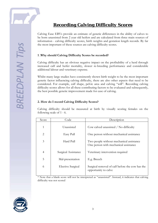# *Recording Calving Difficulty Scores*

Calving Ease EBVs provide an estimate of genetic differences in the ability of calves to be born unassisted from 2 year old heifers and are calculated from three main sources of information - calving difficulty scores, birth weights and gestation length records. By far the most important of these sources are calving difficulty scores.

#### **1 .Why should Calving Difficulty Scores be recorded?**

Calving difficulty has an obvious negative impact on the profitability of a herd through increased calf and heifer mortality, slower re-breeding performance and considerable additional labour and veterinary expense.

Whilst many large studies have consistently shown birth weight to be the most important genetic factor influencing calving difficulty, there are also other aspects that need to be considered. For example, calf shape, pelvic area and calving "will". Recording calving difficulty scores allows for all these contributing factors to be evaluated and subsequently, the best possible genetic improvement made for ease of calving.

#### **2. How do I record Calving Difficulty Scores?**

Calving difficulty should be measured at birth by visually scoring females on the following scale of 1 - 6.

| Score          | Code                     | Description                                                                       |
|----------------|--------------------------|-----------------------------------------------------------------------------------|
| $\mathbf{1}$   | Unassisted               | Cow calved unassisted / No difficulty                                             |
| $\overline{2}$ | Easy Pull                | One person without mechanical assistance                                          |
| 3              | Hard Pull                | Two people without mechanical assistance<br>One person with mechanical assistance |
| 4              | Surgical Assistance      | Veterinary intervention required                                                  |
| 5              | Mal-presentation         | E.g. Breech                                                                       |
| 6              | <b>Elective Surgical</b> | Surgical removal of calf before the cow has the<br>opportunity to calve           |

\* Note that a blank score will not be interpreted as "unassisted". Instead, it indicates that calving difficulty was not scored

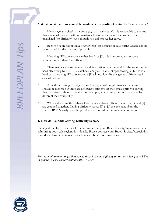#### **3. What considerations should be made when recording Calving Difficulty Scores?**

- If you regularly check your cows (e.g. on a daily basis), it is reasonable to assume that a cow who calves without assistance between visits can be considered as unassisted (no difficulty) even though you did not see her calve.
- Record a score for all calves rather than just difficult or easy births. Scores should be recorded for dead calves, if possible.
- If calving difficulty score is either blank or  $[0]$ , it is interpreted as no score recorded rather than "no difficulty".
- There needs to be some level of calving difficulty in the herd for the scores to be used effectively by the BREEDPLAN analysis. That is, simply scoring all births in a herd with a calving difficulty score of [1] will not identify any genetic differences in ease of calving.
- As with birth weight and gestation length, a birth weight management group should be recorded if there are different treatments of the females prior to calving that may affect calving difficulty. For example, where one group of cows have had different feed availability.
- When calculating the Calving Ease EBVs, calving difficulty scores of [3] and [4] are grouped together. Calving difficulty scores [5] & [6] are excluded from the BREEDPLAN analysis as the problems are considered non-genetic in origin.

#### **4. How do I submit Calving Difficulty Scores?**

Calving difficulty scores should be submitted to your Breed Society/Association when submitting your calf registration details. Please contact your Breed Society/Association should you have any queries about how to submit this information.

*For more information regarding how to record calving difficulty scores, or calving ease EBVs in general, please contact staff at BREEDPLAN.*

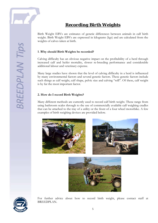

Birth Weight EBVs are estimates of genetic differences between animals in calf birth weight. Birth Weight EBVs are expressed in kilograms (kgs) and are calculated from the weights of calves taken at birth.

#### **1 .Why should Birth Weights be recorded?**

Calving difficulty has an obvious negative impact on the profitability of a herd through increased calf and heifer mortality, slower re-breeding performance and considerable additional labour and veterinary expense.

Many large studies have shown that the level of calving difficulty in a herd is influenced by many environmental factors and several genetic factors. These genetic factors include such things as calf weight, calf shape, pelvic size and calving "will". Of these, calf weight is by far the most important factor.

#### **2. How do I record Birth Weights?**

Many different methods are currently used to record calf birth weight. These range from using bathroom scales through to the use of commercially available calf weighing cradles that can be attached to the tray of a utility or the front of a four wheel motorbike. A few examples of birth weighing devices are provided below.









For further advice about how to record birth weight, please contact staff at BREEDPLAN.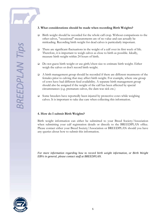#### **3. What considerations should be made when recording Birth Weights?**

- $\Box$  Birth weight should be recorded for the whole calf crop. Without comparisons to the other calves, "occasional" measurements are of no value and can actually be misleading. Recording birth weight for dead calves is particularly important.
- There are significant fluctuations in the weight of a calf over its first week of life. Therefore, it is important to weigh calves as close to birth as possible. Ideally, measure birth weight within 24 hours of birth.
- Do not guess birth weight or use girth/chest size to estimate birth weight. Either weigh the calves or don't record birth weight.
- $\Box$  A birth management group should be recorded if there are different treatments of the females prior to calving that may affect birth weight. For example, where one group of cows have had different feed availability. A separate birth management group should also be assigned if the weight of the calf has been affected by special circumstances (e.g. premature calves, the dam was sick etc.)
- Some breeders have reportedly been injured by protective cows while weighing calves. It is important to take due care when collecting this information.

#### **4. How do I submit Birth Weights?**

Birth weight information can either be submitted to your Breed Society/Association when submitting your calf registration details or directly to the BREEDPLAN office. Please contact either your Breed Society/Association or BREEDPLAN should you have any queries about how to submit this information.

*For more information regarding how to record birth weight information, or Birth Weight EBVs in general, please contact staff at BREEDPLAN.*

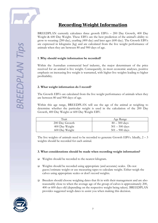# **SREEDPLAN Tip**

# *Recording Weight Information*

BREEDPLAN currently calculates three growth EBVs – 200 Day Growth, 400 Day Weight & 600 Day Weight. These EBVs are the best prediction of the animal's ability to grow to weaning (200 day), yearling (400 day) and later ages (600 day). The Growth EBVs are expressed in kilograms (kg) and are calculated from the live weight performance of animals when they are between 80 and 900 days of age.

#### **1 .Why should weight information be recorded?**

Within the Australian commercial beef industry, the major determinant of the price received for an animal is live weight. Consequently, in most economic analyses, positive emphasis on increasing live weight is warranted, with higher live weights leading to higher profitability.

#### **2. What weight information do I record?**

The Growth EBVs are calculated from the live weight performance of animals when they are between 80 and 900 days of age.

Within this age range, BREEDPLAN will use the age of the animal at weighing to determine whether the particular weight is used in the calculation of the 200 Day Growth, 400 Day Weight or 600 Day Weight EBV.

| Trait          | Age Range        |
|----------------|------------------|
| 200 Day Growth | $80 - 300$ days  |
| 400 Day Weight | $301 - 500$ days |
| 600 Day Weight | $501 - 900$ days |

The live weights of animals need to be recorded to generate Growth EBVs. Ideally, 2 – 3 weights should be recorded for each animal.

#### **3. What considerations should be made when recording weight information?**

- □ Weights should be recorded to the nearest kilogram.
- Weights should be recorded using appropriate (and accurate) scales. Do not guess/estimate weight or use measuring tapes to calculate weight. Either weigh the calves using appropriate scales or don't record weights.
- Breeders should choose weighing dates that fit in with their management and are also reasonably close to when the average age of the group of calves is approximately 200, 400 or 600 days old (depending on the respective weight being taken). BREEDPLAN provides suggested weigh dates to assist you when making this decision.

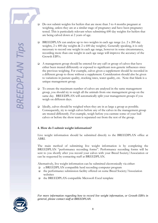**SREEDPLAN Tip** 

- □ Do not submit weights for heifers that are more than 3 to 4 months pregnant at weighing, unless they are at a similar stage of pregnancy and have been pregnancy tested. This is particularly relevant when submitting 600 day weights for heifers that are being calved down at 2 years of age.
- $\Box$  BREEDPLAN can analyse up to two weights in each age range (i.e. 2 x 200 day weights, 2 x 400 day weights & 2 x 600 day weights). Generally speaking, it is only necessary to record one weight in each age range, however in some circumstances, recording more than one weight in each age range will improve the accuracy of the Growth EBVs.
- $\Box$  A management group should be entered for any calf or group of calves that have either been treated differently or exposed to significant non-genetic influences since the previous weighing. For example, calves given a supplement should be recorded in a different group to those without a supplement. Consideration should also be given to variations in pasture quality, stocking rates, water quality, etc. Note that blank is a unique management group.
- To ensure the maximum number of calves are analysed in the same management group, you should try to weigh all the animals from one management group on the same day. BREEDPLAN will automatically split your management groups if you weigh on different days.
- $\Box$  Ideally, calves should be weighed when they are in as large a group as possible. Consequently, try to weigh calves before any of the calves in the management group are treated differently. For example, weigh before you castrate some of your bull calves or before the show team is separated out from the rest of the group.

#### **4. How do I submit weight information?**

Live weight information should be submitted directly to the BREEDPLAN office at ABRI.

The main method of submitting live weight information is by completing the BREEDPLAN "performance recording forms". Performance recording forms will be sent to you shortly after you record your calves with your Breed Society/Association or can be requested by contacting staff at BREEDPLAN.

Alternatively, live weight information can be submitted electronically via either:

- a BREEDPLAN compatible herd recording computer program
- $\Box$  the performance submission facility offered on some Breed Society/Association websites
- the BREEDPLAN compatible Microsoft Excel template



*For more information regarding how to record live weight information, or Growth EBVs in general, please contact staff at BREEDPLAN.*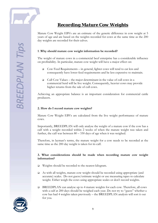

# *Recording Mature Cow Weights*

Mature Cow Weight EBVs are an estimate of the genetic difference in cow weight at 5 years of age and are based on the weights recorded for cows at the same time as the 200 day weights are recorded for their calves.

#### **1 .Why should mature cow weight information be recorded?**

The weight of mature cows in a commercial beef enterprise has a considerable influence on profitability. In particular, mature cow weight will have a major effect on:

- Cow Feed Requirements in general, lighter cows will tend to eat less and consequently have lower feed requirements and be less expensive to maintain.
- Cull Cow Values the major determinant in the value of cull cows in a commercial herd will be live weight. Consequently, heavier cows may provide higher returns from the sale of cull cows.

Achieving an appropriate balance is an important consideration for commercial cattle producers.

#### **2. How do I record mature cow weights?**

Mature Cow Weight EBVs are calculated from the live weight performance of mature cows.

Importantly, BREEDPLAN will only analyse the weight of a mature cow if the cow has a calf with a weight recorded within 2 weeks of when the mature weight was taken and further, the calf was between 80 – 330 days of age when it was weighed.

Therefore, in layman's terms, the mature weight for a cow needs to be recorded at the same time as the 200 day weight is taken for its calf.

#### **3. What considerations should be made when recording mature cow weight information?**

- Weights should be recorded to the nearest kilogram.
- As with all weights, mature cow weight should be recorded using appropriate (and accurate) scales. Do not guess/estimate weight or use measuring tapes to calculate weight. Either weigh the cows using appropriate scales or don't record weights.
- BREEDPLAN can analyse up to 4 mature weights for each cow. Therefore, all cows with a calf at 200 days should be weighed each year. Do not try to "guess" whether a cow has had 4 weights taken previously – the BREEDPLAN analysis will sort it out for you.

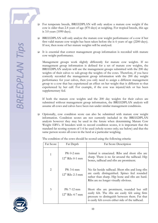**SREEDPLAN Tip** 

 For temperate breeds, BREEDPLAN will only analyse a mature cow weight if the cow is older than 2.4 years of age (870 days) at weighing. For tropical breeds, this age is 3.0 years (1090 days).

- BREEDPLAN will only analyse the mature cow weight performance of a cow if her first valid mature cow weight has been taken before she is 6 years of age (2200 days). If not, then none of her mature weights will be analysed.
- It is essential that correct management group information is recorded with mature cow weight performance.

Management groups work slightly differently for mature cow weights. If no management group information is defined for a set of mature cow weights, the BREEDPLAN analysis will use the management groups submitted with the 200 day weights of their calves to sub-group the weights of the cows. Therefore, if you have correctly recorded the management group information with the 200 day weight performance for your calves, then you only need to assign a different management group to a cow that has experienced an effect on her weight that is different to that experienced by her calf. For example, if the cow was injured/sick or has been supplementary fed.

If both the mature cow weights and the 200 day weights for their calves are submitted without management group information, the BREEDPLAN analysis will assume all cows and calves have been run under similar management conditions.

 Optionally, cow condition score can also be submitted with mature cow weight information. Condition scores are not currently included in the BREEDPLAN analysis however they may be used in the future when determining Mature Cow Weight EBVs. If breeders wish to record condition scores, it is important that the standard fat scoring system of 1-6 be used (whole scores only; see below) and that the same person scores all cows in the herd at a particular weighing.

The condition of the cows should be scored using the following criteria:

| Fat Score    | Fat Depth                             | <b>Fat Score Description</b>                                                                                                                                                                            |
|--------------|---------------------------------------|---------------------------------------------------------------------------------------------------------------------------------------------------------------------------------------------------------|
| $\mathbf{1}$ | $P8: 0-2$ mm<br>$12^{th}$ Rib: 0-1 mm | Animal is emaciated. Ribs and short ribs are<br>sharp. There is no fat around the tailhead. Hip<br>bones, tailhead and ribs are prominent.                                                              |
| 2            | P8: 3-6 mm<br>$12^{th}$ Rib: 2-3 mm   | No fat beside tailhead. Short ribs and long ribs<br>are easily distinguished. Spines feel rounded<br>rather than sharp. Hip bone and ribs are hard.<br>Ribs are no longer visually obvious.             |
| 3            | P8: 7-12 mm<br>$12^{th}$ Rib: 4-7 mm  | Short ribs are prominent, rounded but still<br>easily felt. The ribs are easily felt using firm<br>pressure to distinguish between them. Fat that<br>is easily felt covers either side of the tailhead. |

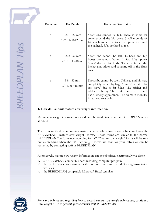| Fat Score | Fat Depth                               | Fat Score Description                                                                                                                                                                                                                                                            |
|-----------|-----------------------------------------|----------------------------------------------------------------------------------------------------------------------------------------------------------------------------------------------------------------------------------------------------------------------------------|
| 4         | P8: 13-22 mm<br>$12^{th}$ Rib: 8-12 mm  | Short ribs cannot be felt. There is some fat<br>cover around the hip bone. Small mounds of<br>fat which are soft to touch are present around<br>the tailhead. Ribs are hard to feel.                                                                                             |
| 5         | P8: 23-32 mm<br>$12^{th}$ Rib: 13-18 mm | Short ribs cannot be felt. Tailhead and hip<br>bones are almost buried in fat. Ribs appear<br>'wavy' due to fat folds. There is fat in the<br>brisket and udder, and squaring-off in the flank<br>area.                                                                          |
| 6         | $P8: >32$ mm<br>$12^{th}$ Rib: $>18$ mm | Short ribs cannot be seen. Tailhead and hips are<br>completely buried by large 'rounds' of fat. Ribs<br>are 'wavy' due to fat folds. The brisket and<br>udder are heavy. The flank is squared off and<br>has a blocky appearance. The animal's mobility<br>is reduced to a walk. |

#### **4. How do I submit mature cow weight information?**

Mature cow weight information should be submitted directly to the BREEDPLAN office at ABRI.

The main method of submitting mature cow weight information is by completing the BREEDPLAN "mature cow weight" forms. These forms are similar to the normal BREEDPLAN "performance recording forms". "Mature cow weight" forms will be sent out as standard when the 200 day weight forms are sent for your calves or can be requested by contacting staff at BREEDPLAN.

Alternatively, mature cow weight information can be submitted electronically via either:

- a BREEDPLAN compatible herd recording computer program.
- $\Box$  the performance submission facility offered on some Breed Society/Association websites.
- the BREEDPLAN compatible Microsoft Excel template.



*For more information regarding how to record mature cow weight information, or Mature Cow Weight EBVs in general, please contact staff at BREEDPLAN.*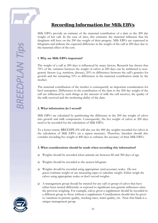

# *Recording Information for Milk EBVs*

Milk EBVs provide an estimate of the maternal contribution of a dam to the 200 day weight of her calf. In the case of sires, this estimates the maternal influence that his daughters will have on the 200 day weight of their progeny. Milk EBVs are expressed in kilograms and indicate the expected difference in the weight of the calf at 200 days due to the maternal effect of the cow.

#### **1 .Why are Milk EBVs important?**

The weight of a calf at 200 days is influenced by many factors. Research has shown that 70% of the variation between the weight of calves at 200 days can be attributed to nongenetic factors (e.g. nutrition, disease), 20% to differences between the calf's genetics for growth and the remaining 10% to differences in the maternal contribution made by the mother.

The maternal contribution of the mother is consequently an important consideration for beef enterprises. Differences in the contribution of the dam to the 200 day weight of the calf are influenced by such things as the amount of milk the calf receives, the quality of the milk received and the mothering ability of the dam.

#### **2. What information do I record?**

Milk EBVs are calculated by partitioning the difference in the 200 day weight of calves into growth and milk components. Consequently, the live weight of calves at 200 days need to be recorded for the calculation of Milk EBVs.

To a lesser extent, BREEDPLAN will also use the 400 day weights recorded for calves in the calculation of Milk EBVs (as a repeat measure). Therefore, breeders should also consider recording live weight at 400 days to enhance the accuracy of their Milk EBVs.

#### **3. What considerations should be made when recording this information?**

- Weights should be recorded when animals are between 80 and 300 days of age.
- □ Weights should be recorded to the nearest kilogram.
- Weights should be recorded using appropriate (and accurate) scales. Do not guess/estimate weight or use measuring tapes to calculate weight. Either weigh the calves using appropriate scales or don't record weights.
- A management group should be entered for any calf or group of calves that have either been treated differently or exposed to significant non-genetic influences since the previous weighing. For example, calves given a supplement should be recorded in a different group to those without a supplement. Consideration should also be given to variations in pasture quality, stocking rates, water quality, etc. Note that blank is a unique management group.

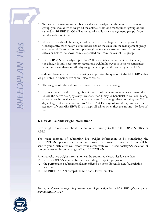- To ensure the maximum number of calves are analysed in the same management group, you should try to weigh all the animals from one management group on the same day. BREEDPLAN will automatically split your management groups if you weigh on different days.
- $\Box$  Ideally, calves should be weighed when they are in as large a group as possible. Consequently, try to weigh calves before any of the calves in the management group are treated differently. For example, weigh before you castrate some of your bull calves or before the show team is separated out from the rest of the group.
- $\Box$  BREEDPLAN can analyse up to two 200 day weights on each animal. Generally speaking, it is only necessary to record one weight, however in some circumstances, recording more than one 200 day weight may improve the accuracy of the EBVs.

In addition, breeders particularly looking to optimise the quality of the Milk EBVs that are generated for their calves should also consider:

- The weights of calves should be recorded at or before weaning.
- $\Box$  If you are concerned that a significant number of cows are weaning calves naturally before the calves are "physically" weaned, then it may be beneficial to consider taking an early weight on all calves. That is, if you aren't weaning calves until they are 200 days of age but some cows start to "dry off" at 150 days of age, it may improve the accuracy of your Milk EBVs if you weigh all calves when they are around 150 days of age.

#### **4. How do I submit weight information?**

Live weight information should be submitted directly to the BREEDPLAN office at ABRI.

The main method of submitting live weight information is by completing the BREEDPLAN "performance recording forms". Performance recording forms will be sent to you shortly after you record your calves with your Breed Society/Association or can be requested by contacting staff at BREEDPLAN.

Alternatively, live weight information can be submitted electronically via either:

- a BREEDPLAN compatible herd recording computer program
- the performance submission facility offered on some Breed Society/Association websites
- $\Box$  the BREEDPLAN compatible Microsoft Excel template.

*For more information regarding how to record information for the Milk EBVs, please contact staff at BREEDPLAN.*

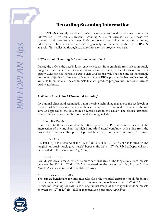

# *Recording Scanning Information*

BREEDPLAN currently calculates EBVs for carcase traits based on two main sources of information – live animal ultrasound scanning & abattoir carcase data. Of these two sources, stud breeders are most likely to collect live animal ultrasound scanning information. The abattoir carcase data is generally only of value to the BREEDPLAN analysis if it is collected through structured research or progeny test trials.

#### **1 .Why should Scanning Information be recorded?**

During the 1990's, the beef industry experienced a shift in emphasis from selection purely on growth and adaptation to concentrate more on the genetics of carcase and beef quality. Selection for increased carcase yield and carcase value has become an increasingly important objective for breeders of cattle. Carcase EBVs provide the best tools currently available to evaluate and select animals that will produce progeny with improved carcase quality attributes.

#### **2. What is Live Animal Ultrasound Scanning?**

Live animal ultrasound scanning is a non-invasive technology that allows the seedstock or commercial beef producer to assess the carcase merit of an individual animal whilst still alive as opposed to the collection of carcase data in the chiller. The carcase attributes most commonly measured by ultrasound scanning include:

#### ■ Rump Fat Depth

Rump Fat Depth is measured at the P8 rump site. The P8 rump site is located at the intersection of the line from the high bone (third sacral vertebrae) with a line from the inside of the pin bone. Rump Fat Depth will be reported to the nearest mm (eg 10 mm).

#### Rib Fat Depth

Rib Fat Depth is measured at the  $12/13<sup>th</sup>$  rib site. The  $12/13<sup>th</sup>$  rib site is located on the longissimus dorsi muscle (eye muscle) between the  $12<sup>th</sup>$  &  $13<sup>th</sup>$  rib. Rib Fat Depth will also be reported to the nearest mm (eg 7 mm).

#### Eye Muscle Area

Eye Muscle Area is measured as the cross sectional area of the longissimus dorsi muscle between the  $12<sup>th</sup>$  &  $13<sup>th</sup>$  rib. EMA is reported to the nearest cm<sup>2</sup> (e.g.110 cm<sup>2</sup>). Eye Muscle Area is also referred to as Rib Eye Area.

#### □ Intramuscular Fat (IMF)

The carcase benchmark for intra-muscular fat is the chemical extraction of all fat from a meat sample taken as a slice off the longissimus dorsi between the  $12<sup>th</sup>$  &  $13<sup>th</sup>$  ribs. Ultrasound scanning for IMF uses a longitudinal image of the longissimus dorsi muscle between the 12<sup>th</sup> & 13<sup>th</sup> ribs. IMF is reported as a percentage (eg 3.5%)

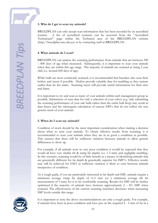#### **3. Who do I get to scan my animals?**

BREEDPLAN can only accept scan information that has been recorded by an accredited scanner. A list of accredited scanners can be accessed from the "Accredited Technicians" page within the Technical area of the BREEDPLAN website (http://breedplan.une.edu.au) or by contacting staff at BREEDPLAN.

#### **4. What animals do I scan?**

BREEDPLAN can analyse the scanning performance from animals that are between 300 – 800 days of age when measured. Subsequently, it is important to scan your animals when they are within this age range. The majority of animals are scanned as rising 2 year olds (i.e. around 600 days of age).

While bulls are most commonly scanned, it is recommended that breeders also scan their heifers and steers if possible. Heifers provide valuable data for marbling as they mature earlier than do the males. Scanning steers will provide useful information for their sires and dams.

It is important to try and scan as many of your animals within each management group as possible. Submission of scan data for only a selection of your calves (e.g. only submitting the scanning performance of your sale bulls rather than the entire bull drop) may result in data biases and the subsequent calculation of carcase EBVs that do not reflect the true genetic merit of your animals.

#### **5. When do I scan my animals?**

Condition of stock should be the most important consideration when making a decision about when to scan your animals. To obtain effective results from scanning, it is recommended to scan your animals when they are in as good a condition as possible. This ensures that there will be sufficient variation between animals to allow genetic differences to show up.

For example, if all animals were in very poor condition it would be expected that they would all have very similar rib & rump fat depths (i.e. 1-2 mm) and negligible marbling. In this scenario, scanning would be of little benefit as a means of identifying animals that are genetically different for fat depth & genetically superior for IMF%. Effective results may still be achieved for EMA as sufficient variation is likely to exist between animals irrespective of condition.

As a rough guide, if you are particularly interested in fat depth and IMF, animals require a minimum average rump fat depth of 4–5 mm (or a minimum average rib fat measurement of 3 mm) for it to be worthwhile scanning. Results for IMF will be further optimised if the majority of animals have between approximately  $2 - 8\%$  IMF when scanned. The effectiveness of the current scanning machines decreases when measuring IMF levels outside this range.



It is important to note the above recommendations are only a rough guide. For example, if animals have been in poor condition and have put on the required 4 - 5 mm of fat in a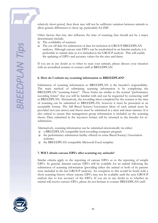relatively short period, then there may still not be sufficient variation between animals to allow genetic differences to show up, particularly for IMF.

Other factors that may also influence the time of scanning (but should not be a major determinant) include:

- The availability of scanners
- The cut off date for submission of data for inclusion in GROUP BREEDPLAN analyses. Although carcase trait EBVs can be recalculated in an Interim analysis, it is preferable to submit data so it is included in the GROUP analysis. This will enable the updating of EBVs and accuracy values for the sires and dams.

If you are in any doubt as to when to scan your animals, please discuss your situation with an accredited scanner or contact staff at BREEDPLAN.

#### **6. How do I submit my scanning information to BREEDPLAN?**

Submission of scanning information to BREEDPLAN is the breeder's responsibility. The main method of submitting scanning information is by completing the BREEDPLAN "scanning forms". These forms are similar to the normal "performance" recording forms" that you will be familiar with and can be requested by contacting staff at BREEDPLAN. Alternatively, the recording sheet completed by the scanner at the time of scanning can be submitted to BREEDPLAN, however it must be presented in an acceptable format. The full Breed Society/Association ident of each animal must be provided (not just tattoo) and sheets must be submitted in a clear and clean manner. It is also critical to ensure that management group information is included on the scanning sheets. Data submitted in the incorrect format will be returned to the breeder for resubmission.

Alternatively, scanning information can be submitted electronically via either:

- a BREEDPLAN compatible herd recording computer program
- the performance submission facility offered on some Breed Society/Association websites
- the BREEDPLAN compatible Microsoft Excel template

#### **7. Will I obtain carcase EBVs after scanning my animals?**

Similar criteria apply to the reporting of carcase EBVs as to the reporting of weight EBVs. In general, Interim carcase EBVs will be available for an animal following the submission of scanning information (providing either the animal or both of its parents were included in the last GROUP analysis). An exception to this would be herds with a short scanning history where carcase EBVs may not be available until the next GROUP analysis due to low accuracy of the EBVs. If you are in any doubt as to whether an animal will receive carcase EBVs, please do not hesitate to contact BREEDPLAN staff.

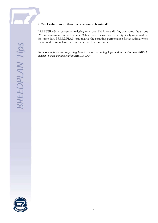#### **8. Can I submit more than one scan on each animal?**

BREEDPLAN is currently analysing only one EMA, one rib fat, one rump fat & one IMF measurement on each animal. While these measurements are typically measured on the same day, BREEDPLAN can analyse the scanning performance for an animal when the individual traits have been recorded at different times.

*For more information regarding how to record scanning information, or Carcase EBVs in general, please contact staff at BREEDPLAN.*

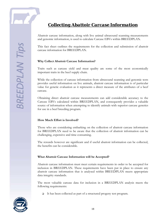

# *Collecting Abattoir Carcase Information*

Abattoir carcase information, along with live animal ultrasound scanning measurements and genomic information, is used to calculate Carcase EBVs within BREEDPLAN.

This fact sheet outlines the requirements for the collection and submission of abattoir carcase information for BREEDPLAN.

#### **Why Collect Abattoir Carcase Information?**

Traits such as carcase yield and meat quality are some of the most economically important traits in the beef supply chain.

While the collection of carcase information from ultrasound scanning and genomic tests provides useful information on live animals, abattoir carcase information is of particular value for genetic evaluation as it represents a direct measure of the attributes of a beef carcase.

Obtaining direct abattoir carcase measurements can add considerable accuracy to the Carcase EBVs calculated within BREEDPLAN, and consequently provides a valuable source of information when attempting to identify animals with superior carcase genetics for use in a beef breeding program.

#### **How Much Effort is Involved?**

Those who are considering embarking on the collection of abattoir carcase information for BREEDPLAN need to be aware that the collection of abattoir information can be challenging, expensive and time consuming.

The rewards however are significant and if useful abattoir information can be collected, the benefits can be considerable.

#### **What Abattoir Carcase Information will be Accepted?**

Abattoir carcase information must meet certain requirements in order to be accepted for inclusion in BREEDPLAN. These requirements have been put in place to ensure any abattoir carcase information that is analysed within BREEDPLAN meets appropriate data integrity standards.

The most valuable carcase data for inclusion in a BREEDPLAN analysis meets the following requirements:

It has been collected as part of a structured progeny test program.

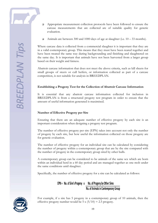- Appropriate measurement collection protocols have been followed to ensure the carcase measurements that are collected are of suitable quality for genetic evaluation.
- Animals are between 300 and 1000 days of age at slaughter (i.e.  $10 33$  months).

Where carcase data is collected from a commercial slaughter it is important that they are in a valid contemporary group. This means that they must have been reared together and have been treated the same way during backgrounding and finishing and slaughtered on the same day. It is important that animals have not been harvested from a larger group based on their weight and fatness.

Abattoir carcase information that does not meet the above criteria, such as kill sheets for small groups of steers or cull heifers, or information collected as part of a carcase competition, is not suitable for analysis in BREEDPLAN.

#### **Establishing a Progeny Test for the Collection of Abattoir Carcase Information**

It is essential that any abattoir carcase information collected for inclusion in BREEDPLAN is from a structured progeny test program in order to ensure that the amount of useful information generated is maximised.

#### **Number of Effective Progeny per Sire**

Ensuring that there are an adequate number of effective progeny by each sire is an important consideration when designing a progeny test program.

The number of effective progeny per sire (EPN) takes into account not only the number of progeny by each sire, but how useful the information collected on those progeny are for genetic evaluation.

The number of effective progeny for an individual sire can be calculated by considering the number of progeny within a contemporary group that are by the sire compared with the number of progeny in the contemporary group sired by other bulls.

A contemporary group can be considered to be animals of the same sex which are born within an individual herd in a 60 day period and are managed together as one mob under the same conditions until slaughter.

Specifically, the number of effective progeny for a sire can be calculated as follows:

# EPN = No. of Sire's Progeny x No. of Progeny by Other Sires

No. of Animals in Contemporary Group



For example, if a sire has 5 progeny in a contemporary group of 10 animals, then the effective progeny number would be  $5 \times (5/10) = 2.5$  progeny.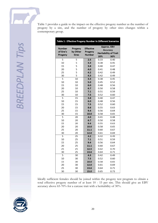| Table 1 : Effective Progeny Number In Different Scenarios |              |                  |      |                              |
|-----------------------------------------------------------|--------------|------------------|------|------------------------------|
| <b>Number</b>                                             | Progeny      | <b>Effective</b> |      | Approx. EBV                  |
| of Sire's                                                 | by Other     | Progeny          |      | Accuracy                     |
| Progeny                                                   | <b>Sires</b> | <b>Number</b>    |      | <b>Heritability of Trait</b> |
|                                                           |              |                  | 20%  | 30%                          |
| 5                                                         | 5            | 2.5              | 0.33 | 0.40                         |
| 10                                                        | 5            | 3.3              | 0.38 | 0.45                         |
| 15                                                        | 5            | 3.8              | 0.40 | 0.47                         |
| 20                                                        | 5            | 4.0              | 0.41 | 0.48                         |
| 25                                                        | 5            | 4.2              | 0.42 | 0.49                         |
| 30                                                        | 5            | 4.3              | 0.42 | 0.49                         |
| 5                                                         | 10           | 3.3              | 0.38 | 0.45                         |
| 10                                                        | 10           | 5.0              | 0.45 | 0.52                         |
| 15                                                        | 10           | 6.0              | 0.48 | 0.56                         |
| 20                                                        | 10           | 6.7              | 0.50 | 0.58                         |
| 25                                                        | 10           | 7.1              | 0.51 | 0.59                         |
| 30                                                        | 10           | 7.5              | 0.52 | 0.60                         |
| 5                                                         | 15           | 3.8              | 0.40 | 0.47                         |
| 10                                                        | 15           | 6.0              | 0.48 | 0.56                         |
| 15                                                        | 15           | 7.5              | 0.52 | 0.60                         |
| 20                                                        | 15           | 8.6              | 0.55 | 0.63                         |
| 25                                                        | 15           | 9,4              | 0.56 | 0.64                         |
| 30                                                        | 15           | 10.0             | 0.58 | 0.65                         |
| 5                                                         | 20           | 4.0              | 0.41 | 0.48                         |
| 10                                                        | 20           | 6.7              | 0.50 | 0.58                         |
| 15                                                        | 20           | 8.6              | 0.55 | 0.63                         |
| 20                                                        | 20           | 10.0             | 0.58 | 0.65                         |
| 25                                                        | 20           | 11.1             | 0.60 | 0.67                         |
| 30                                                        | 20           | 12.0             | 0.61 | 0.69                         |
| $\overline{5}$                                            | 25           | 4.2              | 0.42 | 0.49                         |
| 10                                                        | 25           | 7.1              | 0.51 | 0.59                         |
| 15                                                        | 25           | 9.4              | 0.56 | 0.64                         |
| 20                                                        | 25           | 11.1             | 0.60 | 0.67                         |
| 25                                                        | 25           | 12.5             | 0.62 | 0.70                         |
| 30                                                        | 25           | 13.6             | 0.64 | 0.71                         |
| 5                                                         | 30           | 4.3              | 0.42 | 0.49                         |
| 10                                                        | 30           | 7.5              | 0.52 | 0.60                         |
| 15                                                        | 30           | 10.0             | 0.58 | 0.65                         |
| 20                                                        | 30           | 12.0             | 0.61 | 0.69                         |
| 25                                                        | 30           | 13.6             | 0.64 | 0.71                         |
| 30                                                        | 30           | 15.0             | 0.65 | 0.73                         |

Ideally sufficient females should be joined within the progeny test program to obtain a total effective progeny number of at least 10 - 15 per sire. This should give an EBV accuracy above 65-70% for a carcase trait with a heritability of 30%.

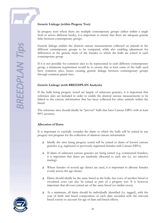#### **Genetic Linkage (within Progeny Test)**

In progeny tests where there are multiple contemporary groups (either within a single herd or across different herds), it is important to ensure that there are adequate genetic links between contemporary groups.

Genetic linkage enables the abattoir carcase measurements collected on animals in the different contemporary groups to be compared, while also enabling adjustment for differences in the genetic merit of the females to which the bulls are joined in each contemporary group.

If it is not possible for common sires to be represented in each different contemporary group, a minimum requirement would be to ensure that at least some of the bulls used have common sires, hence creating genetic linkage between contemporary groups through common grand-sires.

#### **Genetic Linkage (with BREEDPLAN Analysis)**

If the bulls being progeny tested are largely of unknown genetics, it is important that reference sires are included in order to enable the abattoir carcase measurements to be linked to the carcase information that has been collected for other animals within the breed.

The reference sires should ideally be "proven" bulls that have Carcase EBVs with at least 80% accuracy.

#### **Allocation of Dams**

It is important to carefully consider the dams to which the bulls will be joined in any progeny test program for the collection of abattoir carcase information.

- Ideally the sires being progeny tested will be joined to dams of known carcase genetics (e.g. registered or previously registered females with Carcase EBVs).
- If dams of unknown carcase genetics are being joined (e.g. commercial females), it is important that dams are randomly allocated to each sire (i.e. no selective mating).
- $\Box$  Where females of several age classes are used, it is important to allocate females evenly across the age classes.
- Dams should ideally be the same breed as the bulls, but cows of another breed or crossbred cows can also be joined as part of a progeny test. It is however important that all cows joined are of the same breed (or similar cross).
- At a minimum, all dams should be individually identified (i.e. tagged), with the year of birth and breed composition of each dam recorded with the relevant breed society to account for age of dam and breed effects.

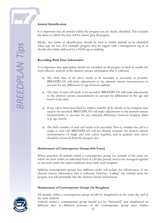#### **Animal Identification**

It is important that all animals within the progeny test are clearly identified. This includes the dams to which the sires will be joined, plus all progeny.

Ideally, two forms of identification should be used to enable animals to be identified when tags are lost. For example, progeny may be tagged with a management tag at or shortly after birth, followed by a NLIS tag at marking.

#### **Recording Birth Date Information**

It is important that appropriate details are recorded on all progeny at birth to enable the most effective analysis of the abattoir carcase information that is collected.

- The birth date of all calves needs to be recorded as accurately as possible. BREEDPLAN will make adjustments to the abattoir carcase measurements to account for any differences in age between animals.
- $\Box$  The dam of each calf needs to be recorded. BREEDPLAN will make adjustments to the abattoir carcase measurements to account for differences in the age and breed of the dam.
- $\Box$  If any calves have been bred by embryo transfer (ET), details of the recipient dam need to be recorded. BREEDPLAN will make adjustments to the abattoir carcase measurements to account for any maternal differences between recipient dams (e.g. age, breed).
- The birth number of each calf needs to be recorded. That is, whether the calf is a single or twin calf. BREEDPLAN will not directly compare the abattoir carcase measurements of single and twin calves together, and in general, twin calves should be removed from the progeny test.

#### **Maintenance of Contemporary Groups (On Farm)**

Where practical, all animals within a contemporary group (i.e. animals of the same sex which are born within an individual herd in a 60 day period) need to be managed together as one mob under the same conditions from birth until slaughter.

Splitting contemporary groups into different mobs will reduce the effectiveness of the abattoir carcase information that is collected. Likewise, "culling" any animals from the progeny test will potentially bias the abattoir carcase information.

#### **Maintenance of Contemporary Groups (At Slaughter)**



All animals within a contemporary group should be slaughtered on the same day and at the same abattoir.

Animals within a contemporary group should not be "harvested" and slaughtered on different days as different portions of the contemporary group meet market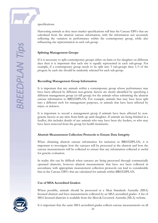specifications.

Harvesting animals as they meet market specifications will bias the Carcase EBVs that are calculated from the abattoir carcase information, with the information not accurately reflecting the variation in performance within the contemporary group, while also influencing sire representation in each sub-group.

#### **Splitting Management Groups**

If it is necessary to split contemporary groups either on-farm or for slaughter on different days then it is important that each sire is equally represented in each sub-group. For example, if a contemporary group needs to be split into 3 sub-groups then 1/3 of the progeny by each sire should be randomly selected for each sub-group.

#### **Recording Management Group Information**

It is important that any animals within a contemporary group whose performance may have been affected by different non-genetic factors are clearly identified by specifying a different management group (or kill group) for the animals when submitting the abattoir carcase information to BREEDPLAN. For example, animals that may have been split into a different mob for management purposes, or animals that have been affected by injury or sickness.

It is important to record a management group if animals have been affected by nongenetic factors at any time from birth up until slaughter. If animals are being finished in a feedlot, this includes details of any animals who may have been shy feeders, or who may have been removed from the group for health treatments.

#### **Abattoir Measurement Collection Protocols to Ensure Data Integrity**

When obtaining abattoir carcase information for inclusion in BREEDPLAN, it is important to investigate how the carcases will be processed at the abattoir and how the carcase measurements will be collected to ensure that any information collected is useful for genetic evaluation.

In reality this can be difficult when carcases are being processed through commercially operated abattoirs, however abattoir measurements that have not been collected in accordance with appropriate measurement collection protocols can lead to considerable bias in the Carcase EBVs that are calculated for animals within BREEDPLAN.

#### **Use of MSA Accredited Graders**

Where possible, animals should be processed at a Meat Standards Australia (MSA) licensed abattoir and have measurements collected by an MSA accredited grader. A list of MSA licensed abattoirs is available from the Meat & Livestock Australia (MLA) website.



It is important that the same MSA accredited grader collects carcase measurements on all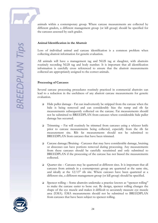animals within a contemporary group. Where carcase measurements are collected by different graders, a different management group (or kill group) should be specified for the carcases assessed by each grader.

#### **Animal Identification in the Abattoir**

Loss of individual animal and carcase identification is a common problem when collecting abattoir information for genetic evaluation.

All animals will have a management tag and NLIS tag at slaughter, with abattoirs routinely recording NLIS tag and body number. It is important that all identification information is carefully cross referenced to ensure that the abattoir measurements collected are appropriately assigned to the correct animals.

#### **Processing of Carcases**

Several carcase processing procedures routinely practiced in commercial abattoirs can lead to a reduction in the usefulness of any abattoir carcase measurements for genetic evaluation.

- Hide puller damage Fat can inadvertently be stripped from the carcase when the hide is being removed and can considerably bias the rump and rib fat measurements subsequently collected on the carcase. Fat measurements should not be submitted to BREEDPLAN from carcases where considerable hide puller damage has occurred.
- $\Box$  Trimming Fat will routinely be trimmed from carcases using a whizzer knife prior to carcase measurements being collected, especially from the rib fat measurement site. Rib fat measurements should not be submitted to BREEDPLAN from carcases that have been trimmed.
- Carcase damage/Bruising Carcases that may have considerable damage, bruising or abscesses can have portions removed during processing. Any measurements from these carcases should be carefully scrutinised and only submitted to BREEDPLAN if the processing of the carcase has not biased the measurements collected.
- Quarter site Carcases may be quartered at different sites. It is important that all carcases from animals in a contemporary group are quartered at the same site, and ideally at the  $12/13<sup>th</sup>$  rib site. Where carcases have been quartered at a different site, a different management group (or kill group) should be specified.
- Spencer rolling Some abattoirs undertake a practice known as "spencer rolling" to make the carcase easier to bone out. By design, spencer rolling changes the shape of the eye muscle and makes it difficult to accurately measure eye muscle area (EMA). EMA measurements should not be submitted to BREEDPLAN from carcases that have been subject to spencer rolling.

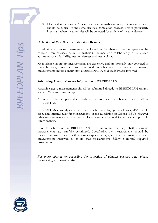$\Box$  Electrical stimulation – All carcases from animals within a contemporary group should be subject to the same electrical stimulation process. This is particularly important when meat samples will be collected for analysis of meat tenderness.

#### **Collection of Meat Science Laboratory Results**

In addition to carcase measurements collected in the abattoir, meat samples can be collected from carcases for further analysis in the meat science laboratory for traits such as intramuscular fat (IMF), meat tenderness and meat colour.

Meat science laboratory measurements are expensive and are normally only collected in research trials; however those interested in obtaining meat science laboratory measurements should contact staff at BREEDPLAN to discuss what is involved.

#### **Submitting Abattoir Carcase Information to BREEDPLAN**

Abattoir carcase measurements should be submitted directly to BREEDPLAN using a specific Microsoft Excel template.

A copy of the template that needs to be used can be obtained from staff at BREEDPLAN.

BREEDPLAN currently includes carcase weight, rump fat, eye muscle area, MSA marble score and intramuscular fat measurements in the calculation of Carcase EBVs, however other measurements that have been collected can be submitted for storage and possible future analysis.

Prior to submission to BREEDPLAN, it is important that any abattoir carcase measurements are carefully scrutinised. Specifically, the measurements should be reviewed to ensure they fit within normal expected ranges, and that the variation between measurements reviewed to ensure that measurements follow a normal expected distribution.

*For more information regarding the collection of abattoir carcase data, please contact staff at BREEDPLAN.*

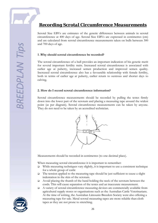# *Recording Scrotal Circumference Measurements*

Scrotal Size EBVs are estimates of the genetic differences between animals in scrotal circumference at 400 days of age. Scrotal Size EBVs are expressed in centimetres (cm) and are calculated from scrotal circumference measurements taken on bulls between 300 and 700 days of age.

#### **1 .Why should scrotal circumference be recorded?**

The scrotal circumference of a bull provides an important indication of his genetic merit for several important fertility traits. Increased scrotal circumference is associated with earlier age at puberty, increased semen production and improved semen quality. Increased scrotal circumference also has a favourable relationship with female fertility, both in terms of earlier age at puberty, earlier return to oestrous and shorter days to calving.

#### **2. How do I record scrotal circumference information?**

Scrotal circumference measurements should be recorded by pulling the testes firmly down into the lower part of the scrotum and placing a measuring tape around the widest point (as per diagram). Scrotal circumference measurements can be taken by anyone. They do not need to be taken by an accredited technician.



Measurements should be recorded in centimetres (to one decimal place).

When measuring scrotal circumference it is important to remember:

- $\Box$  While measuring techniques vary slightly, it is important to use a consistent technique for a whole group of cattle
- $\Box$  The tension applied to the measuring tape should be just sufficient to cause a slight indentation in the skin of the scrotum.
- Avoid placing the thumb of the hand holding the neck of the scrotum between the cords. This will cause separation of the testes and an inaccurate measurement.
- A variety of scrotal circumference measuring devices are commercially available from agricultural supply stores or organisations such as the Australian Cattle Veterinarians. At the time of writing, the Australian Limousin Breeders Society were also offering a measuring tape for sale. Metal scrotal measuring tapes are more reliable than cloth tapes as they are not prone to stretching.

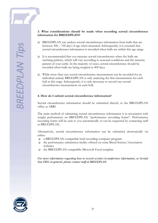#### **3. What considerations should be made when recording scrotal circumference information for BREEDPLAN?**

- BREEDPLAN can analyse scrotal circumference information from bulls that are between 300 – 700 days of age when measured. Subsequently, it is essential that scrotal circumference information is recorded when bulls are within this age range.
- It is recommended that you measure scrotal circumference when the bulls are reaching puberty, which will vary according to seasonal conditions and the maturity pattern of your cattle. In the majority of cases, scrotal circumference should be recorded when bulls are being weighed at 400 days.
- While more than one scrotal circumference measurement can be recorded for an individual animal, BREEDPLAN is only analysing the first measurement for each bull at this stage. Subsequently, it is only necessary to record one scrotal circumference measurement on each bull.

#### **4. How do I submit scrotal circumference information?**

Scrotal circumference information should be submitted directly to the BREEDPLAN office at ABRI.

The main method of submitting scrotal circumference information is in association with weight performance on BREEDPLAN "performance recording forms". Performance recording forms will be sent to you automatically or can be requested by contacting staff at BREEDPLAN.

Alternatively, scrotal circumference information can be submitted electronically via either:

- a BREEDPLAN compatible herd recording computer program
- the performance submission facility offered on some Breed Society/Association websites
- the BREEDPLAN compatible Microsoft Excel template

*For more information regarding how to record scrotal circumference information, or Scrotal Size EBVs in general, please contact staff at BREEDPLAN.*

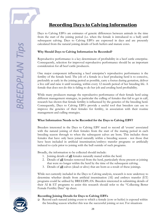# *Recording Days to Calving Information*

Days to Calving EBVs are estimates of genetic differences between animals in the time from the start of the joining period (i.e. when the female is introduced to a bull) until subsequent calving. Days to Calving EBVs are expressed in days and are presently calculated from the natural joining details of both heifers and mature cows.

#### **Why Should Days to Calving Information be Recorded?**

Reproductive performance is a key determinant of profitability in a beef cattle enterprise. Consequently, selection for improved reproductive performance should be an important consideration for all beef cattle producers.

One major component influencing a beef enterprise's reproductive performance is the fertility of the female herd. The job of a female in a beef producing herd is to conceive, preferably as early in the joining period as possible, carry a foetus during gestation, deliver a live calf and raise it until weaning, within every 12 month period of her breeding life. A female that does not do this is failing to do her job and eroding herd profitability.

While many producers manage the reproductive performance of their female herd using different management strategies, in particular the culling of females that fail to get in calf, research has shown that female fertility is influenced by the genetics of the breeding herd. Consequently, Days to Calving EBVs provide a useful tool that breeders can use to improve the genetics of their females for fertility, in association with their routine management and culling strategies.

#### **What Information Needs to be Recorded for the Days to Calving EBV?**

Breeders interested in the Days to Calving EBV need to record all 'events' associated with the natural joining of their females from the start of the mating period in each breeding season through to when the subsequent calves are born. This includes those females that have only been joined naturally within a breeding season - not those that have been included in artificial insemination/embryo transfer programs or artificially induced to cycle prior to joining with the bull outside of such programs.

Broadly, the information to be collected should include:

- 1. Joining details of **all** females naturally mated within the herd.
- 2. Details of **all** females removed from the herd, particularly those present at joining that were no longer within the herd by the time of the subsequent calving.
- 3. Details of **all** calves (dead or alive) that are born as a result of these joinings.

While not currently included in the Days to Calving analysis, research is now underway to determine whether details from artificial insemination (AI) and embryo transfer (ET) programs could be utilised by BREEDPLAN. Breeders interested in submitting details of their AI & ET programs to assist this research should refer to the "Collecting Better Female Fertility Data" tip sheet.

#### **Recording Joining Details for Days to Calving EBVs**

Record each natural joining event to which a female (cow or heifer) is exposed within the breeding season whether this was the successful joining or not. For situations

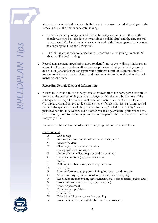**SREEDPLAN Tip** 

where females are joined to several bulls in a mating season, record all joinings for the female, not just the first or successful joining.

- For each natural joining event within the breeding season, record the bull the female was joined to, the date she was joined ('bull in' date) and the date the bull was removed ('bull out' date). Knowing the end of the joining period is important in analysing the Days to Calving trait.
- The joining event code to be used when recording natural joining events is  $N'$ (Natural/Paddock mating).
- Record management group information to identify any  $\text{row/s}$  within a joining group whose fertility may have been affected either prior to or during the joining program due to non-genetic factors. e.g. significantly different nutrition, sickness, injury. A maximum of three characters (letters and/or numbers) can be used to describe each management group.

#### **Recording Female Disposal Information**

 $\Box$  Record the date and reason for any female removed from the herd, particularly those present at the start of joining that are no longer within the herd by the time of the subsequent calving. The fate/disposal code information is critical to the Days to Calving analysis and is used to determine whether females that have a joining record but no subsequent calf should be penalised for being "culled for infertility" or not penalised because they were culled for other reasons e.g. structure, performance etc. In the future, this information may also be used as part of the calculation of a Female Longevity EBV.

The codes to be used to record a female fate/disposal event are as follows:

#### Culled or sold

- A Cast for age
- B Sold surplus breeding female but not code J or F
- C Calving incident
- D Disease (e.g. pesti, eye cancer, etc)
- E Eyes (pigment, hooding, etc)
- F Not in calf (i.e. failed preg test or did not calve)
- G Genetic condition (e.g. genetic carrier)
- H Horns
- J Cull unjoined heifer surplus to requirements
- K Coat Type
- P Poor performance (e.g. poor milking, low body condition, etc
- Q Appearance (type, colour, markings, Society standards, etc)
- R Reproduction abnormality (eg freemartin, mal-formed uterus, pelvic area)
- S Structural problem (e.g. feet, legs, navel, etc)
- T Poor temperament
- U Udder or teat problems
- V Poor EBVs
- W Calved but failed to rear calf to weaning
- X Susceptible to parasites (ticks, buffalo fly, worms, etc

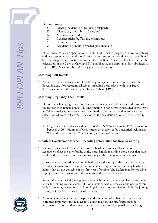**SREEDPLAN Tip** 

#### Died or missing

- C Calving incident (e.g. dystocia, prolapsed)
- D Disease (e.g. pesti, bloat, 3 day, etc)
- M Missing assumed dead
- X Parasites (ticks, buffalo fly, worms, etc)<br>Y Unknown cause
- Unknown cause
- Z Accident (e.g. injury, drowned, poisoned, etc)

Note: These codes are specific to BREEDPLAN for the purpose of Days to Calving and are separate to the disposal information submitted routinely to your Breed Society. Disposal information submitted to your Breed Society will not be used in the calculation of the Days to Calving EBV, and likewise the disposal codes submitted to BREEDPLAN will not be utilised by your Breed Society.

#### **Recording Calf Details**

 $\Box$  All calves that are born as a result of these joinings need to be recorded with the Breed Society. Not recording all calves (including dead calves) with your Breed Society will reduce the accuracy of Days to Calving EBVs.

#### **Recording Pregnancy Test Results**

- Optionally, where pregnancy test results are available, record the date and result of the test for each female joined. This information is not currently included in the Days to Calving analysis, however it may be utilised in the future to either enhance the calculation of Days to Calving EBVs, or for the calculation of other female fertility EBVs.
	- Pregnancy test results should be reported as:  $N = Not$  pregnant,  $P =$  Pregnant, or between 3-20 = Number of weeks pregnant as advised by a qualified technician. Where the foetus is over 20 weeks old, a 'P' should be used.

#### **Important Considerations when Recording Information for Days to Calving**

- $\Box$  Joining details for <u>all</u> cows in the recorded herd need to be collected in order to accurately reflect the cow fertility in the herd. Simply recording those cows that have a calf or those cows that remain on inventory in the next year is not adequate.
- $\Box$  Ensure that you record details for all heifers joined not just the ones that calve or are added to inventory. Information on heifers is very important as many herds cull heifers that do not conceive in the first year of joining. The heifers that do not calve supply as much information to the analysis as those that do calve.
- Record the details of all joining events in which the female was involved even if you know the joining was unsuccessful. For situations where females are joined to several bulls in a mating season, record all joinings for each cow and heifer within the joining period, not just the first or successful joining.
- Accurately recording the fate/disposal codes of all females that leave the herd is extremely important. In the Days to Calving analysis, this fate/disposal code information is used to determine whether a female should be penalised for being

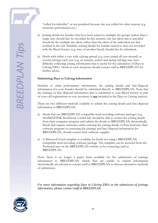"culled for infertility" or not penalised because she was culled for other reasons (e.g. structure, performance etc.)

- $\Box$  Joining details for females that have been joined to multiple sire groups (rather than a single sire) should also be recorded. In this scenario, the sire ident that is specified should be the multiple sire ident, rather than the ident of the individual sire that resulted in the calf. Similarly, joining details for females mated to sires not recorded with the Breed Society (e.g. sires of another breed) should also be submitted.
- Herds with either a very wide calving spread (e.g. cows joined all year around) or several calvings each year (e.g. an autumn, winter and spring calving) may have difficulty collecting joining information that is useful for the calculation of Days to Calving EBVs. Herds in such situations should contact staff at BREEDPLAN for further advice.

#### **Submitting Days to Calving Information**

Similarly to other performance information, the joining details and fate/disposal information for your females should be submitted directly to BREEDPLAN. Note that the joinings or fate/disposal information that is submitted to your Breed Society as part of your calf registrations or cow inventory is **not** included in the Days to Calving analysis.

There are two different methods available to submit the joining details and fate/disposal information to BREEDPLAN:

- □ Herds that use BREEDPLAN compatible herd recording software packages (e.g. HerdMASTER, Stockbook, CattleLink) should be able to extract the joining details from their computer program and submit the details to BREEDPLAN electronically. Herds that require assistance either entering the joining details of their herd into their software program or extracting the joinings and fate/disposal information for BREEDPLAN, should contact their software supplier.
- A Microsoft Excel template is available for herds not using a BREEDPLAN compatible herd recording software package. The template can be accessed from the Technical area on the BREEDPLAN website or by contacting staff at BREEDPLAN.

Note: there is no longer a paper form available for the submission of joinings information to BREEDPLAN. Herds that are unable to submit information electronically are advised to contact staff at BREEDPLAN to discuss alternative methods of submission.

*For more information regarding Days to Calving EBVs or the submission of joinings information, please contact staff at BREEDPLAN.*

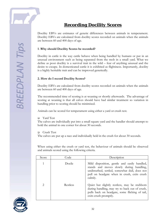# *Recording Docility Scores*

Docility EBVs are estimates of genetic differences between animals in temperament. Docility EBVs are calculated from docility scores recorded on animals when the animals are between 60 and 400 days of age.

#### **1 .Why should Docility Scores be recorded?**

Docility in cattle is the way cattle behave when being handled by humans or put in an unusual environment such as being separated from the mob in a small yard. What we define as poor docility is a survival trait in the wild – fear of anything unusual and the desire to escape. In domesticated cattle it is exhibited as flightiness. Importantly, docility is a highly heritable trait and can be improved genetically.

#### **2. How do I record Docility Scores?**

Docility EBVs are calculated from docility scores recorded on animals when the animals are between 60 and 400 days of age.

The recommended time of scoring is at weaning or shortly afterwards. The advantage of scoring at weaning is that all calves should have had similar treatment so variation in handling prior to scoring should be minimised.

Animals can be scored for temperament using either a yard or crush test.

Yard Test

The calves are individually put into a small square yard and the handler should attempt to hold the animal in one corner for about 30 seconds.

Crush Test

The calves are put up a race and individually held in the crush for about 30 seconds.

When using either the crush or yard test, the behaviour of animals should be observed and animals scored using the following criteria.

| Score                       | Code     | Description                                                                                                                                                                                         |
|-----------------------------|----------|-----------------------------------------------------------------------------------------------------------------------------------------------------------------------------------------------------|
|                             | Docile   | Mild disposition, gentle and easily handled,<br>stands and moves slowly during handling,<br>undisturbed, settled, somewhat dull, does not<br>pull on headgate when in crush, exits crush<br>calmly. |
| $\mathcal{D}_{\mathcal{L}}$ | Restless | Quiet but slightly restless, may be stubborn<br>during handling, may try to back out of crush,<br>pulls back on headgate, some flicking of tail,<br>exits crush promptly.                           |

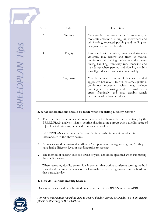| Score | Code       | Description                                                                                                                                                                                                                                                                                        |
|-------|------------|----------------------------------------------------------------------------------------------------------------------------------------------------------------------------------------------------------------------------------------------------------------------------------------------------|
| 3     | Nervous    | Manageable but nervous and impatient, a<br>moderate amount of struggling, movement and<br>tail flicking, repeated pushing and pulling on<br>headgate, exits crush briskly.                                                                                                                         |
| 4     | Flighty    | Jumpy and out of control, quivers and struggles<br>violently, may bellow and froth at mouth,<br>continuous tail flicking, defecates and urinates<br>during handling, frantically runs fenceline and<br>may jump when penned individually, exhibits<br>long flight distance and exits crush wildly. |
| 5     | Aggressive | May be similar to score 4 but with added<br>aggressive behaviour, fearful, extreme agitation,<br>continuous movement which may include<br>jumping and bellowing while in crush, exits<br>crush frantically and may exhibit attack<br>behaviour when handled alone.                                 |

#### **3. What considerations should be made when recording Docility Scores?**

- $\Box$  There needs to be some variation in the scores for them to be used effectively by the BREEDPLAN analysis. That is, scoring all animals in a group with a docility score of [1] will not identify any genetic differences in docility.
- BREEDPLAN can accept half scores if animals exhibit behaviour which is intermediate to the above scores.
- Animals should be assigned a different "temperament management group" if they have had a different level of handling prior to scoring.
- $\Box$  The method of scoring used (i.e. crush or yard) should be specified when submitting the docility scores.
- $\Box$  When recording docility scores, it is important that both a consistent scoring method is used and the same person scores all animals that are being assessed in the herd on that particular day.

#### **4. How do I submit Docility Scores?**

Docility scores should be submitted directly to the BREEDPLAN office at ABRI.

*For more information regarding how to record docility scores, or Docility EBVs in general, please contact staff at BREEDPLAN.*

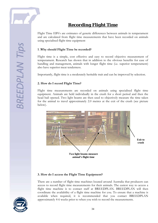

# *Recording Flight Time*

Flight Time EBVs are estimates of genetic differences between animals in temperament and are calculated from flight time measurements that have been recorded on animals using specialised flight time equipment

#### **1 .Why should Flight Time be recorded?**

Flight time is a simple, cost effective and easy to record objective measurement of temperament. Research has shown that in addition to the obvious benefits for ease of handling and management, animals with longer flight time (i.e. superior temperament) also have superior meat tenderness.

Importantly, flight time is a moderately heritable trait and can be improved by selection.

#### **2. How do I record Flight Time?**

Flight time measurements are recorded on animals using specialised flight time equipment. Animals are held individually in the crush for a short period and then the head bail opened. Two light beams are then used to objectively measure the time taken for the animal to travel approximately 2.0 metres at the exit of the crush (see picture below).



#### **3. How do I access the Flight Time Equipment?**

There are a number of flight time machines located around Australia that producers can access to record flight time measurements for their animals. The easiest way to access a flight time machine is to contact staff at BREEDPLAN. BREEDPLAN will then coordinate the availability of a flight time machine for you. To ensure that a machine is available when required, it is recommended that you contact BREEDPLAN approximately 4-6 weeks prior to when you wish to record the measurements.

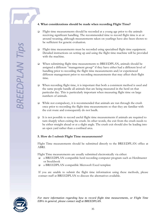#### **4. What considerations should be made when recording Flight Time?**

- $\Box$  Flight time measurements should be recorded at a young age prior to the animals receiving significant handling. The recommended time to record flight time is at or around weaning, although measurements taken on yearlings have also been shown to be sufficient for genetic evaluation.
- Flight time measurements must be recorded using specialised flight time equipment. Detailed instructions on setting up and using the flight time machine will be provided with the machine.
- When submitting flight time measurements to BREEDPLAN, animals should be assigned a different "management group" if they have either had a different level of handling prior to recording the flight time measurements and/or experienced different management prior to recording measurements that may affect their flight time.
- When recording flight time, it is important that both a consistent method is used and the same people handle all animals that are being measured in the herd on that particular day. This is particularly important when measuring flight time on large numbers of animals.
- While not compulsory, it is recommended that animals are run through the crush once prior to recording the flight time measurements so that they are familiar with the exit route and consequently do not baulk.
- It is not possible to record useful flight time measurements if animals are required to turn sharply when exiting the crush. In other words, the exit from the crush needs to be either straight ahead or at a slight angle. The crush exit should also be leading into an open yard rather than a confined area.

#### **5. How do I submit Flight Time measurements?**

Flight Time measurements should be submitted directly to the BREEDPLAN office at ABRI.

Flight Time measurements are usually submitted electronically via either:

- a BREEDPLAN compatible herd recording computer program such as Herdmaster or Stockbook
- a BREEDPLAN compatible Microsoft Excel template

If you are unable to submit the flight time information using these methods, please contact staff at BREEDPLAN to discuss the alternatives available.



*For more information regarding how to record flight time measurements, or Flight Time EBVs in general, please contact staff at BREEDPLAN.*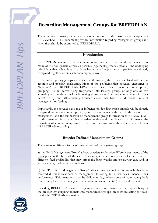# *Recording Management Groups for BREEDPLAN*

The recording of management group information is one of the most important aspects of BREEDPLAN. This document provides information regarding management groups and when they should be submitted to BREEDPLAN.

#### **Introduction**

BREEDPLAN analyses cattle in contemporary groups to take out the influence of as many of the non-genetic effects as possible (e.g. feeding, years, seasons). The underlying principle is that only animals that have had an equal opportunity to perform are directly compared together within each contemporary group.

If the contemporary groups are not correctly formed, the EBVs calculated will be less accurate and possibly misleading. Most of the problems that breeders encounter in "believing" their BREEDPLAN EBVs can be traced back to incorrect contemporary grouping – either calves being fragmented into isolated groups of only one or two animals (and thereby virtually eliminating those calves from any comparison with their peers) or by not differentiating between calves that have had different levels of management or feeding.

Importantly, the breeder has a major influence on deciding which animals will be directly compared within each contemporary group. This influence is through both their on farm management and the submission of management group information to BREEDPLAN. In this manner, it is vital that breeders understand the factors that influence the formation of contemporary groups to ensure they maximise the effectiveness of their BREEDPLAN recording.

#### **Breeder Defined Management Groups**

There are two different forms of breeder defined management group.

a) the "Birth Management Group" allows breeders to describe different treatments of the cows prior to the birth of the calf. For example, where one group of cows have had different feed availability that may affect the birth weight and/or calving ease and/or gestation length when the calf is born.

b) the "Post Birth Management Group" allows breeders to identify animals that have received different treatment or management following birth that has influenced their performance. This treatment may be deliberate (e.g. when some of your young bulls receive supplementary feeding and others do not) or accidental (e.g. if a calf is sick).

Providing BREEDPLAN with management group information is the responsibility of the breeder. By assigning animals into management groups, breeders are acting as "eyes" for the BREEDPLAN evaluation.

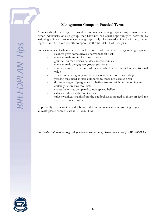Animals should be assigned into different management groups in any situation when either individually or as a group, they have not had equal opportunity to perform. By assigning animals into management groups, only like treated animals will be grouped together and therefore directly compared in the BREEDPLAN analysis.

Some examples of where animals should be recorded in separate management groups are:

- sickness gives some calves a permanent set back;
- some animals are fed for show or sale;
- grain fed animals versus paddock reared animals;
- some animals being given growth promotants;
- animals reared in different paddocks in which feed is of different nutritional value;
- a bull has been fighting and clearly lost weight prior to recording;
- yearling bulls used as sires compared to those not used as sires;
- different stages of pregnancy for heifers (try to weigh before joining and certainly before two months);
- spayed heifers as compared to non-spayed heifers;
- calves weighed on different scales;
- calves weighed straight from the paddock as compared to those off feed for say three hours or more.

Importantly, if you are in any doubt as to the correct management grouping of your animals, please contact staff at BREEDPLAN.

*For further information regarding management groups, please contact staff at BREEDPLAN.*

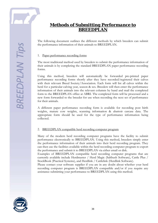

## *Methods of Submitting Performance to BREEDPLAN*

The following document outlines the different methods by which breeders can submit the performance information of their animals to BREEDPLAN.

#### 1. Paper performance recording forms

The most traditional method used by breeders to submit the performance information of their animals is by completing the standard BREEDPLAN paper performance recording forms.

Using this method, breeders will automatically be forwarded pre-printed paper performance recording forms shortly after they have recorded/registered their calves with their relevant Breed Society/Association. Each form will list all calves within the herd for a particular calving year, season & sex. Breeders will then enter the performance information of their animals into the relevant columns by hand and mail the completed form to the BREEDPLAN office at ABRI. The completed form will be processed and a new form forwarded to the breeder for use when recording the next set of performance for their animals.

A different paper performance recording form is available for recording post birth weights, mature cow weights, scanning information & abattoir carcase data. The appropriate form should be used for the type of performance information being collected.

#### 2. BREEDPLAN compatible herd recording computer program

Many of the modern herd recording computer programs have the facility to submit performance electronically to BREEDPLAN. Using this method, breeders simply enter the performance information of their animals into their herd recording program. They can then use the facilities available within the herd recording computer program to export the performance and submit it to BREEDPLAN via either email or disk.

Examples of BREEDPLAN compatible herd recording computer programs that are currently available include Herdmaster / Herd Magic (Saltbush Software), Cattle Plus / StockBook (Practical Systems), and Herdlink / Cattlelink (Herdlink Software).

Please contact your software supplier if you are in any doubt about whether your herd recording computer program is BREEDPLAN compatible and/or if you require any assistance submitting your performance to BREEDPLAN using this method.